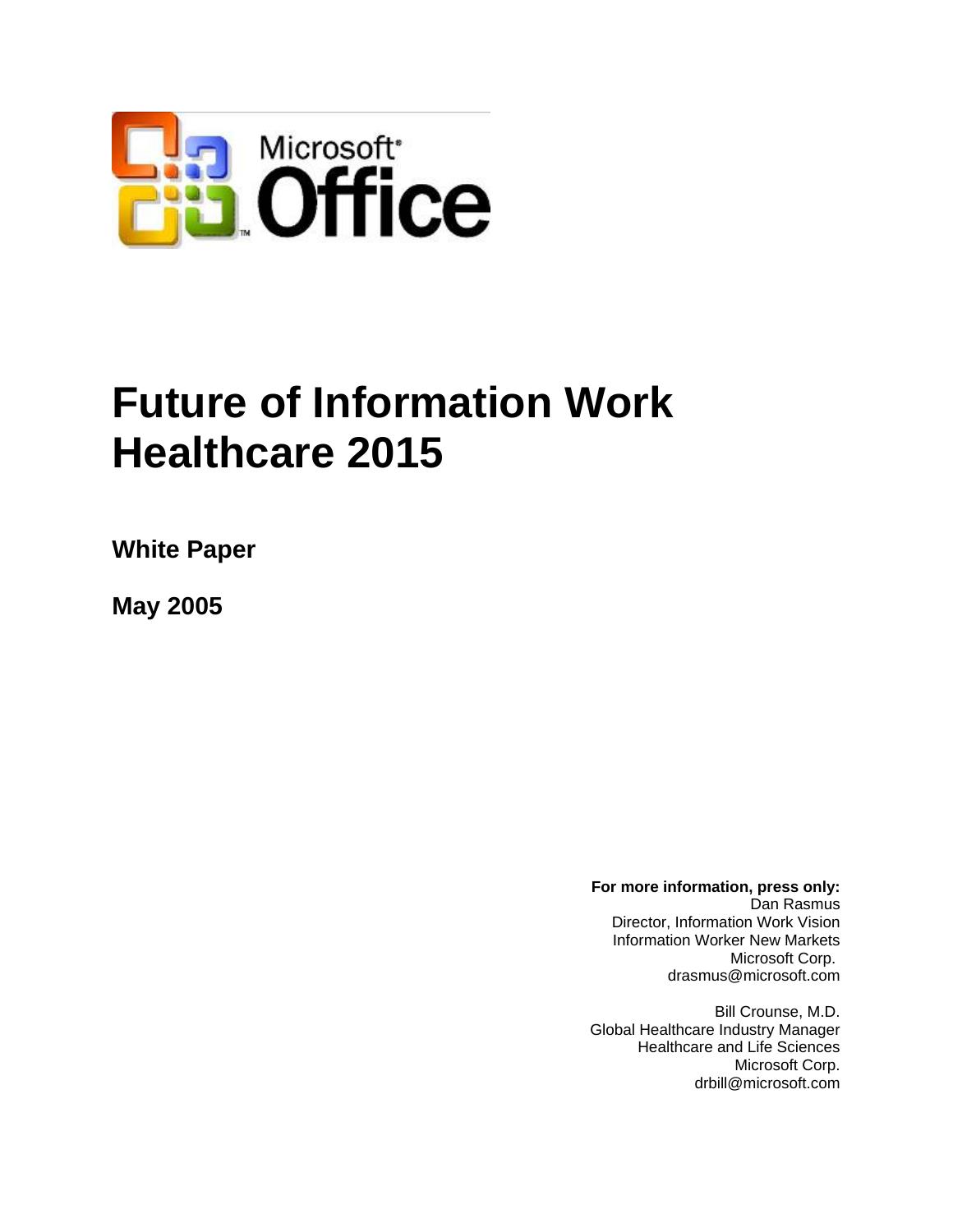

# **Future of Information Work Healthcare 2015**

**White Paper** 

**May 2005** 

**For more information, press only:**  Dan Rasmus Director, Information Work Vision Information Worker New Markets Microsoft Corp. drasmus@microsoft.com

Bill Crounse, M.D. Global Healthcare Industry Manager Healthcare and Life Sciences Microsoft Corp. drbill@microsoft.com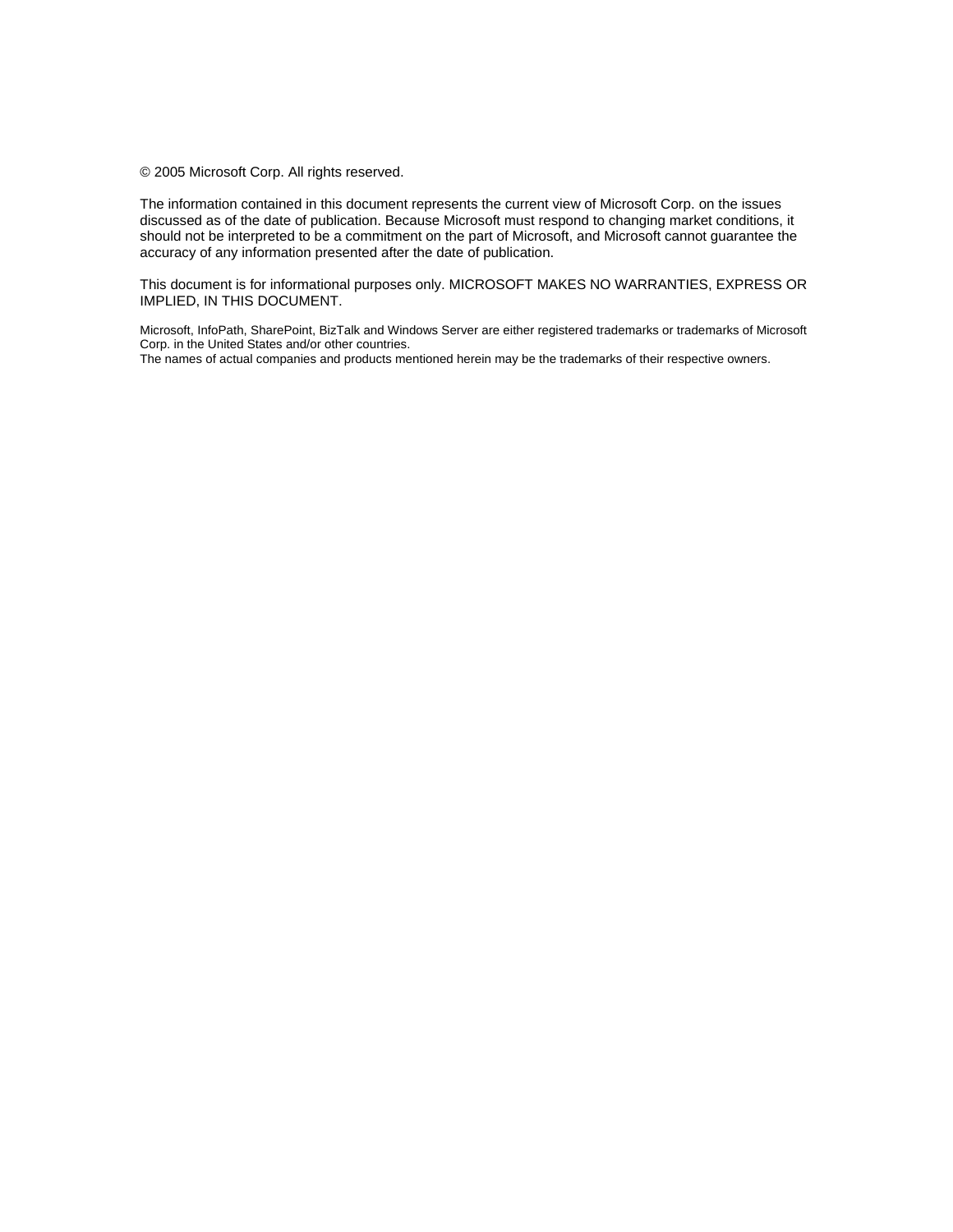© 2005 Microsoft Corp. All rights reserved.

The information contained in this document represents the current view of Microsoft Corp. on the issues discussed as of the date of publication. Because Microsoft must respond to changing market conditions, it should not be interpreted to be a commitment on the part of Microsoft, and Microsoft cannot guarantee the accuracy of any information presented after the date of publication.

This document is for informational purposes only. MICROSOFT MAKES NO WARRANTIES, EXPRESS OR IMPLIED, IN THIS DOCUMENT.

Microsoft, InfoPath, SharePoint, BizTalk and Windows Server are either registered trademarks or trademarks of Microsoft Corp. in the United States and/or other countries.

The names of actual companies and products mentioned herein may be the trademarks of their respective owners.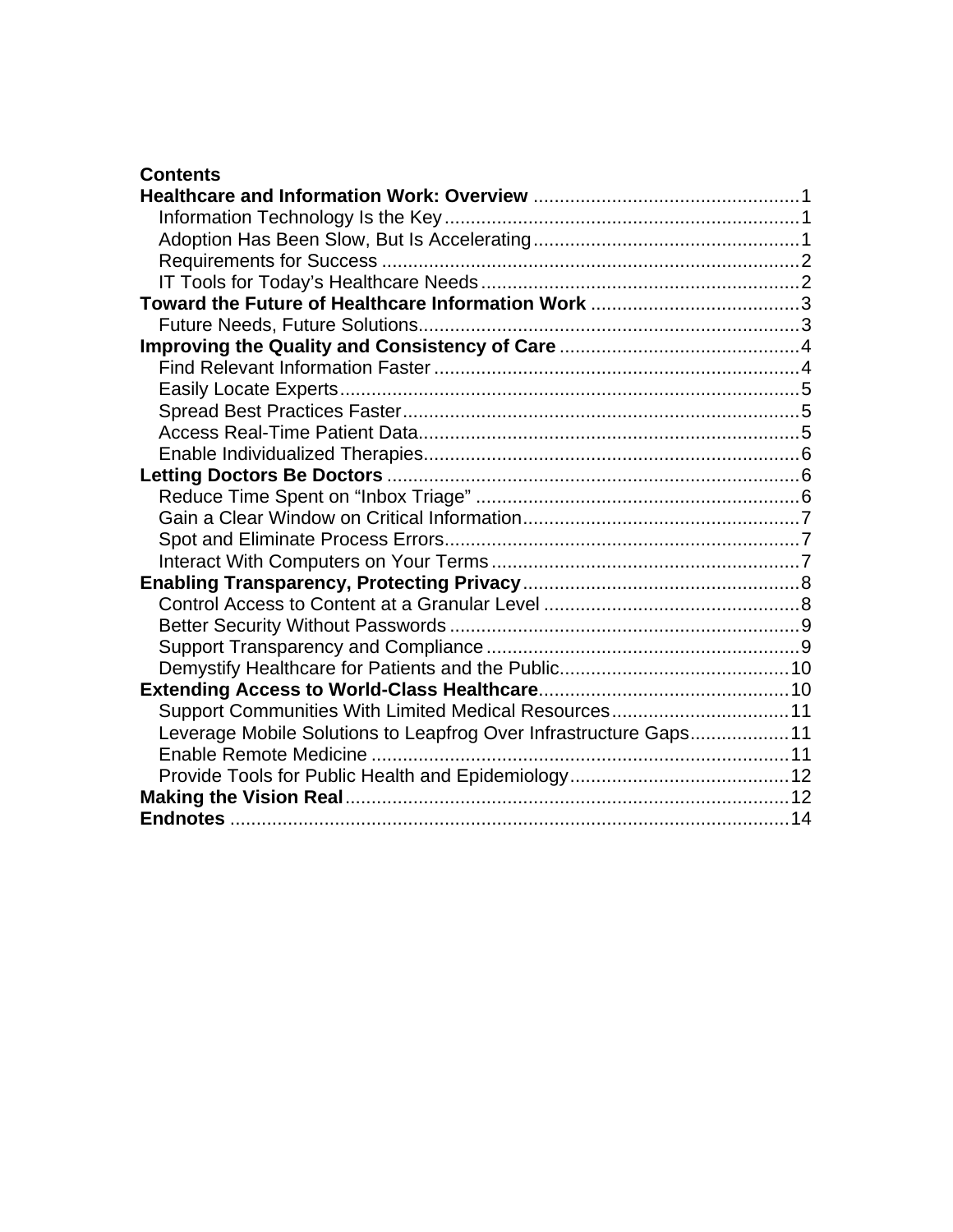#### **Contents**

| Support Communities With Limited Medical Resources 11            |  |
|------------------------------------------------------------------|--|
| Leverage Mobile Solutions to Leapfrog Over Infrastructure Gaps11 |  |
|                                                                  |  |
|                                                                  |  |
|                                                                  |  |
|                                                                  |  |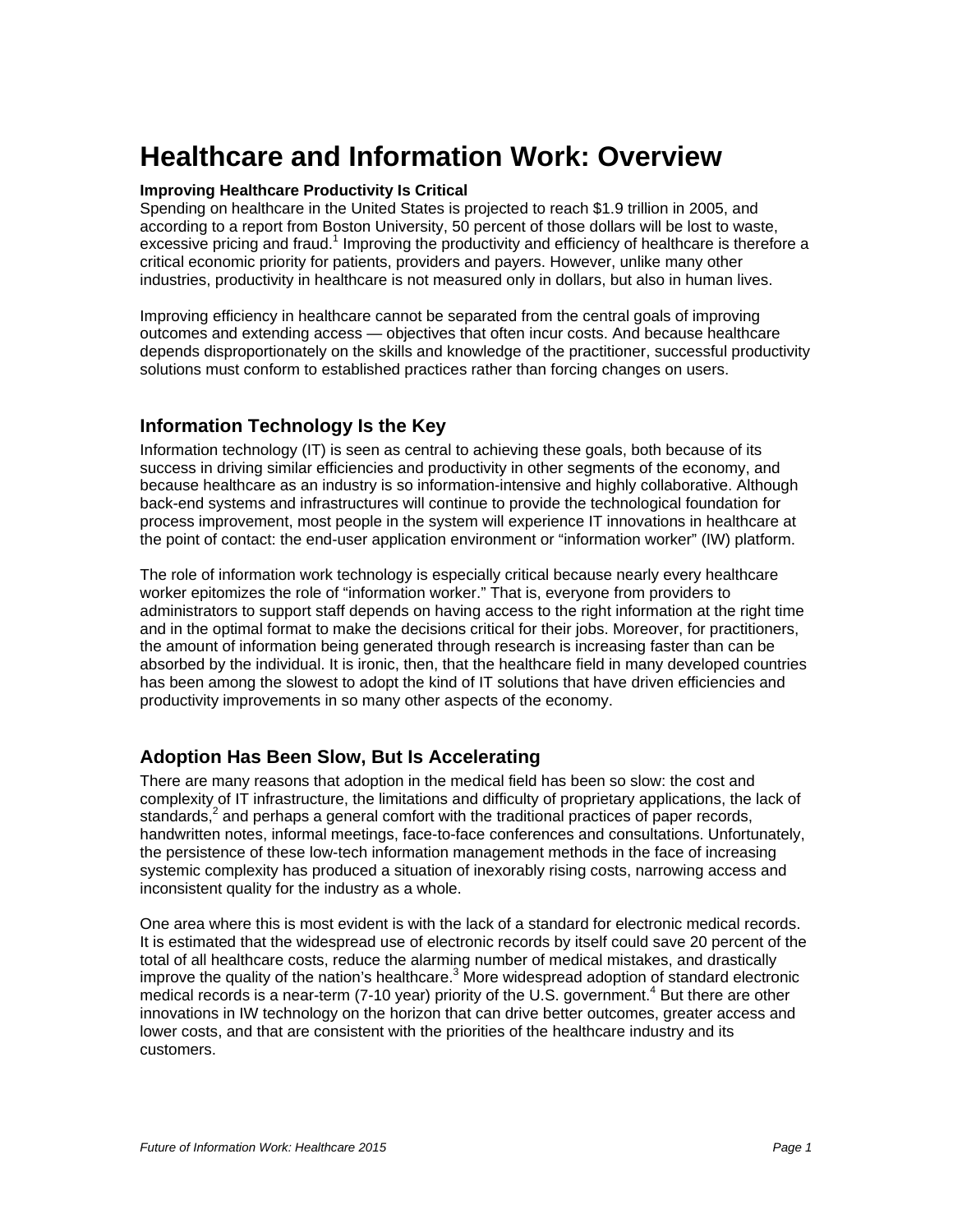# <span id="page-3-0"></span>**Healthcare and Information Work: Overview**

#### **Improving Healthcare Productivity Is Critical**

Spending on healthcare in the United States is projected to reach \$1.9 trillion in 2005, and according to a report from Boston University, 50 percent of those dollars will be lost to waste, excessive pricing and fraud.<sup>1</sup> Improving the productivity and efficiency of healthcare is therefore a critical economic priority for patients, providers and payers. However, unlike many other industries, productivity in healthcare is not measured only in dollars, but also in human lives.

Improving efficiency in healthcare cannot be separated from the central goals of improving outcomes and extending access — objectives that often incur costs. And because healthcare depends disproportionately on the skills and knowledge of the practitioner, successful productivity solutions must conform to established practices rather than forcing changes on users.

#### **Information Technology Is the Key**

Information technology (IT) is seen as central to achieving these goals, both because of its success in driving similar efficiencies and productivity in other segments of the economy, and because healthcare as an industry is so information-intensive and highly collaborative. Although back-end systems and infrastructures will continue to provide the technological foundation for process improvement, most people in the system will experience IT innovations in healthcare at the point of contact: the end-user application environment or "information worker" (IW) platform.

The role of information work technology is especially critical because nearly every healthcare worker epitomizes the role of "information worker." That is, everyone from providers to administrators to support staff depends on having access to the right information at the right time and in the optimal format to make the decisions critical for their jobs. Moreover, for practitioners, the amount of information being generated through research is increasing faster than can be absorbed by the individual. It is ironic, then, that the healthcare field in many developed countries has been among the slowest to adopt the kind of IT solutions that have driven efficiencies and productivity improvements in so many other aspects of the economy.

#### **Adoption Has Been Slow, But Is Accelerating**

There are many reasons that adoption in the medical field has been so slow: the cost and complexity of IT infrastructure, the limitations and difficulty of proprietary applications, the lack of standards,<sup>2</sup> and perhaps a general comfort with the traditional practices of paper records, handwritten notes, informal meetings, face-to-face conferences and consultations. Unfortunately, the persistence of these low-tech information management methods in the face of increasing systemic complexity has produced a situation of inexorably rising costs, narrowing access and inconsistent quality for the industry as a whole.

One area where this is most evident is with the lack of a standard for electronic medical records. It is estimated that the widespread use of electronic records by itself could save 20 percent of the total of all healthcare costs, reduce the alarming number of medical mistakes, and drastically improve the quality of the nation's healthcare.<sup>3</sup> More widespread adoption of standard electronic medical records is a near-term (7-10 year) priority of the U.S. government.<sup>4</sup> But there are other innovations in IW technology on the horizon that can drive better outcomes, greater access and lower costs, and that are consistent with the priorities of the healthcare industry and its customers.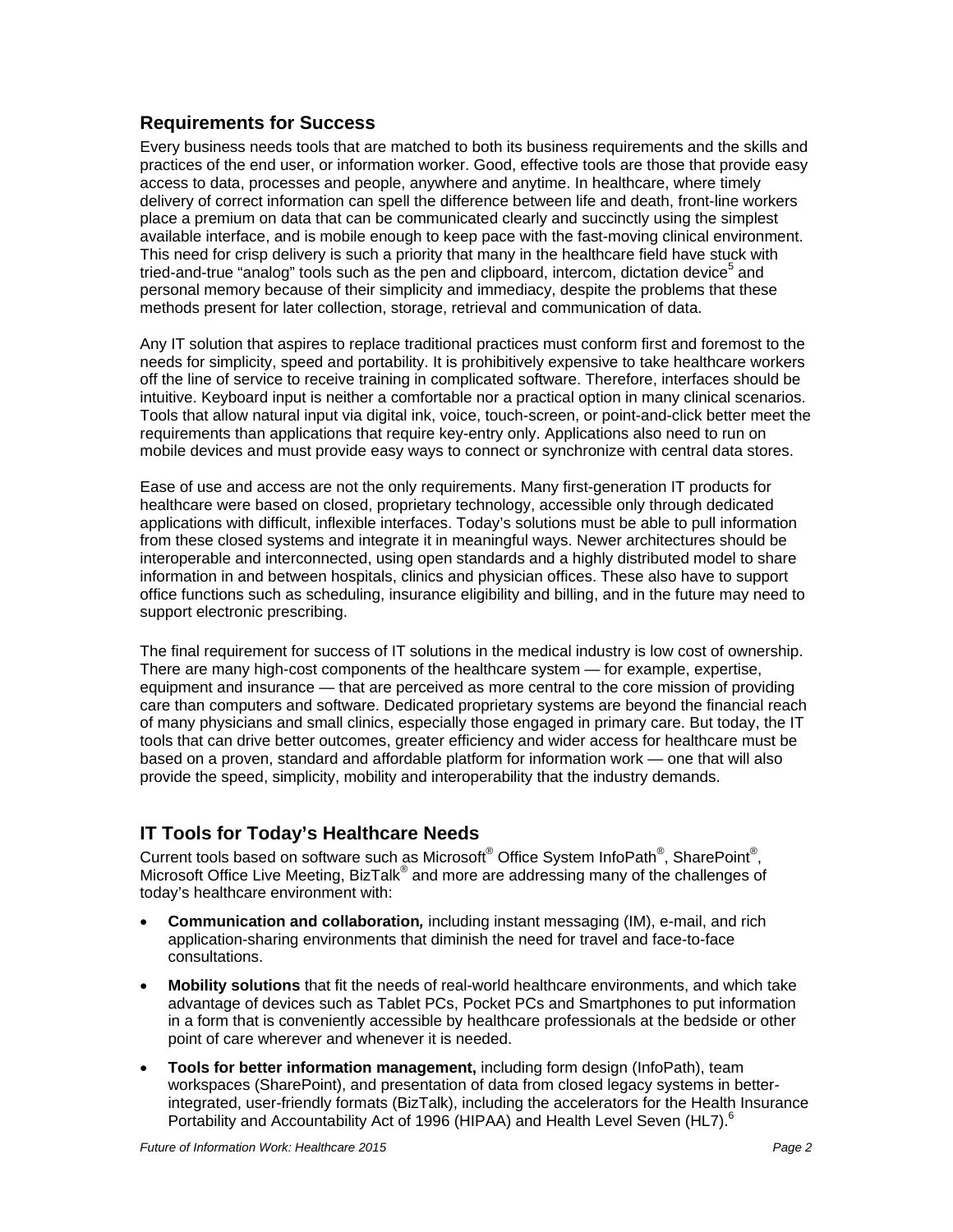#### <span id="page-4-0"></span>**Requirements for Success**

Every business needs tools that are matched to both its business requirements and the skills and practices of the end user, or information worker. Good, effective tools are those that provide easy access to data, processes and people, anywhere and anytime. In healthcare, where timely delivery of correct information can spell the difference between life and death, front-line workers place a premium on data that can be communicated clearly and succinctly using the simplest available interface, and is mobile enough to keep pace with the fast-moving clinical environment. This need for crisp delivery is such a priority that many in the healthcare field have stuck with tried-and-true "analog" tools such as the pen and clipboard, intercom, dictation device<sup>5</sup> and personal memory because of their simplicity and immediacy, despite the problems that these methods present for later collection, storage, retrieval and communication of data.

Any IT solution that aspires to replace traditional practices must conform first and foremost to the needs for simplicity, speed and portability. It is prohibitively expensive to take healthcare workers off the line of service to receive training in complicated software. Therefore, interfaces should be intuitive. Keyboard input is neither a comfortable nor a practical option in many clinical scenarios. Tools that allow natural input via digital ink, voice, touch-screen, or point-and-click better meet the requirements than applications that require key-entry only. Applications also need to run on mobile devices and must provide easy ways to connect or synchronize with central data stores.

Ease of use and access are not the only requirements. Many first-generation IT products for healthcare were based on closed, proprietary technology, accessible only through dedicated applications with difficult, inflexible interfaces. Today's solutions must be able to pull information from these closed systems and integrate it in meaningful ways. Newer architectures should be interoperable and interconnected, using open standards and a highly distributed model to share information in and between hospitals, clinics and physician offices. These also have to support office functions such as scheduling, insurance eligibility and billing, and in the future may need to support electronic prescribing.

The final requirement for success of IT solutions in the medical industry is low cost of ownership. There are many high-cost components of the healthcare system — for example, expertise, equipment and insurance — that are perceived as more central to the core mission of providing care than computers and software. Dedicated proprietary systems are beyond the financial reach of many physicians and small clinics, especially those engaged in primary care. But today, the IT tools that can drive better outcomes, greater efficiency and wider access for healthcare must be based on a proven, standard and affordable platform for information work — one that will also provide the speed, simplicity, mobility and interoperability that the industry demands.

#### **IT Tools for Today's Healthcare Needs**

Current tools based on software such as Microsoft® Office System InfoPath®, SharePoint®, Microsoft Office Live Meeting, BizTalk® and more are addressing many of the challenges of today's healthcare environment with:

- **Communication and collaboration***,* including instant messaging (IM), e-mail, and rich application-sharing environments that diminish the need for travel and face-to-face consultations.
- **Mobility solutions** that fit the needs of real-world healthcare environments, and which take advantage of devices such as Tablet PCs, Pocket PCs and Smartphones to put information in a form that is conveniently accessible by healthcare professionals at the bedside or other point of care wherever and whenever it is needed.
- **Tools for better information management,** including form design (InfoPath), team workspaces (SharePoint), and presentation of data from closed legacy systems in betterintegrated, user-friendly formats (BizTalk), including the accelerators for the Health Insurance Portability and Accountability Act of 1996 (HIPAA) and Health Level Seven (HL7).<sup>6</sup>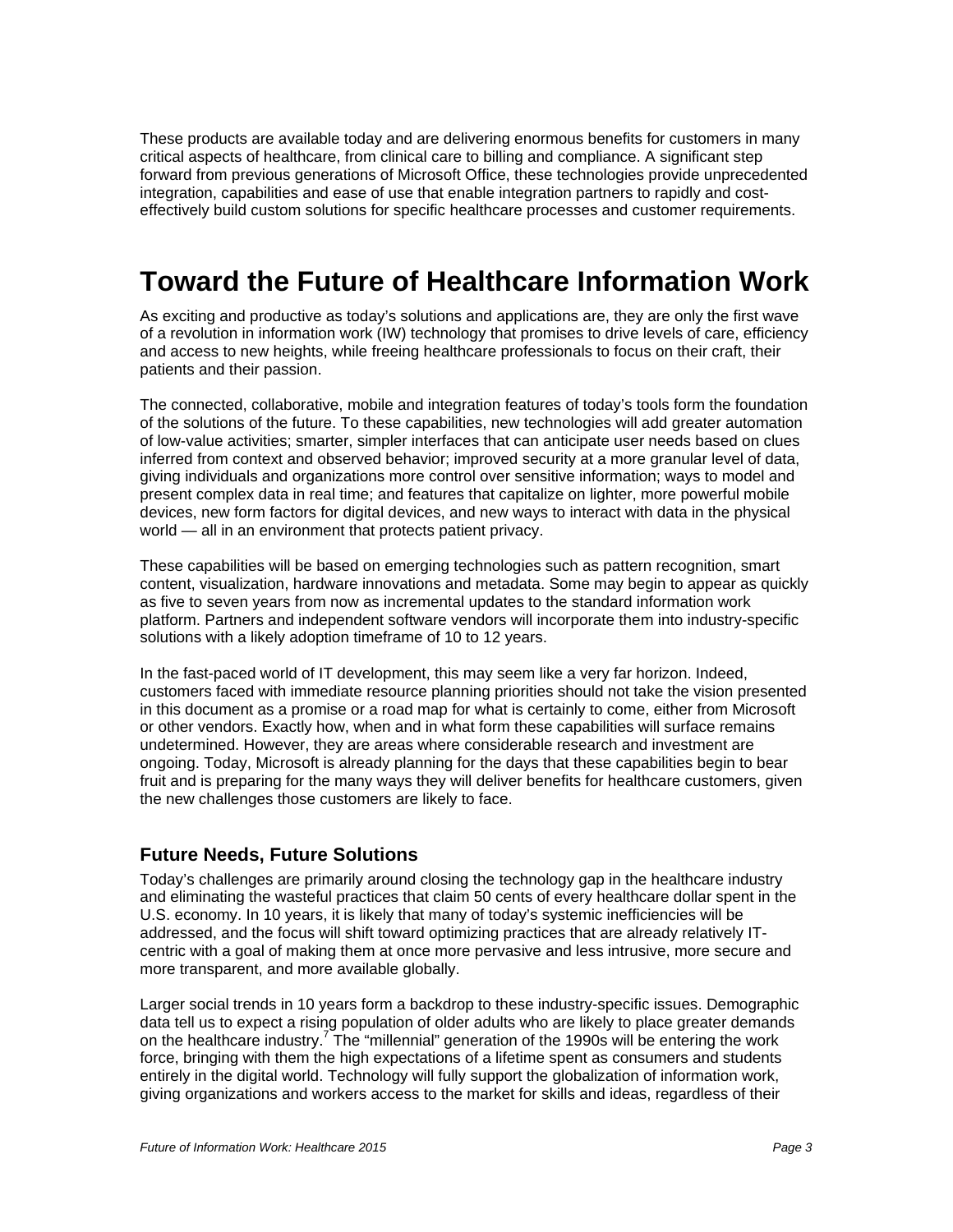<span id="page-5-0"></span>These products are available today and are delivering enormous benefits for customers in many critical aspects of healthcare, from clinical care to billing and compliance. A significant step forward from previous generations of Microsoft Office, these technologies provide unprecedented integration, capabilities and ease of use that enable integration partners to rapidly and costeffectively build custom solutions for specific healthcare processes and customer requirements.

# **Toward the Future of Healthcare Information Work**

As exciting and productive as today's solutions and applications are, they are only the first wave of a revolution in information work (IW) technology that promises to drive levels of care, efficiency and access to new heights, while freeing healthcare professionals to focus on their craft, their patients and their passion.

The connected, collaborative, mobile and integration features of today's tools form the foundation of the solutions of the future. To these capabilities, new technologies will add greater automation of low-value activities; smarter, simpler interfaces that can anticipate user needs based on clues inferred from context and observed behavior; improved security at a more granular level of data, giving individuals and organizations more control over sensitive information; ways to model and present complex data in real time; and features that capitalize on lighter, more powerful mobile devices, new form factors for digital devices, and new ways to interact with data in the physical world — all in an environment that protects patient privacy.

These capabilities will be based on emerging technologies such as pattern recognition, smart content, visualization, hardware innovations and metadata. Some may begin to appear as quickly as five to seven years from now as incremental updates to the standard information work platform. Partners and independent software vendors will incorporate them into industry-specific solutions with a likely adoption timeframe of 10 to 12 years.

In the fast-paced world of IT development, this may seem like a very far horizon. Indeed, customers faced with immediate resource planning priorities should not take the vision presented in this document as a promise or a road map for what is certainly to come, either from Microsoft or other vendors. Exactly how, when and in what form these capabilities will surface remains undetermined. However, they are areas where considerable research and investment are ongoing. Today, Microsoft is already planning for the days that these capabilities begin to bear fruit and is preparing for the many ways they will deliver benefits for healthcare customers, given the new challenges those customers are likely to face.

#### **Future Needs, Future Solutions**

Today's challenges are primarily around closing the technology gap in the healthcare industry and eliminating the wasteful practices that claim 50 cents of every healthcare dollar spent in the U.S. economy. In 10 years, it is likely that many of today's systemic inefficiencies will be addressed, and the focus will shift toward optimizing practices that are already relatively ITcentric with a goal of making them at once more pervasive and less intrusive, more secure and more transparent, and more available globally.

Larger social trends in 10 years form a backdrop to these industry-specific issues. Demographic data tell us to expect a rising population of older adults who are likely to place greater demands on the healthcare industry.<sup>7</sup> The "millennial" generation of the 1990s will be entering the work force, bringing with them the high expectations of a lifetime spent as consumers and students entirely in the digital world. Technology will fully support the globalization of information work, giving organizations and workers access to the market for skills and ideas, regardless of their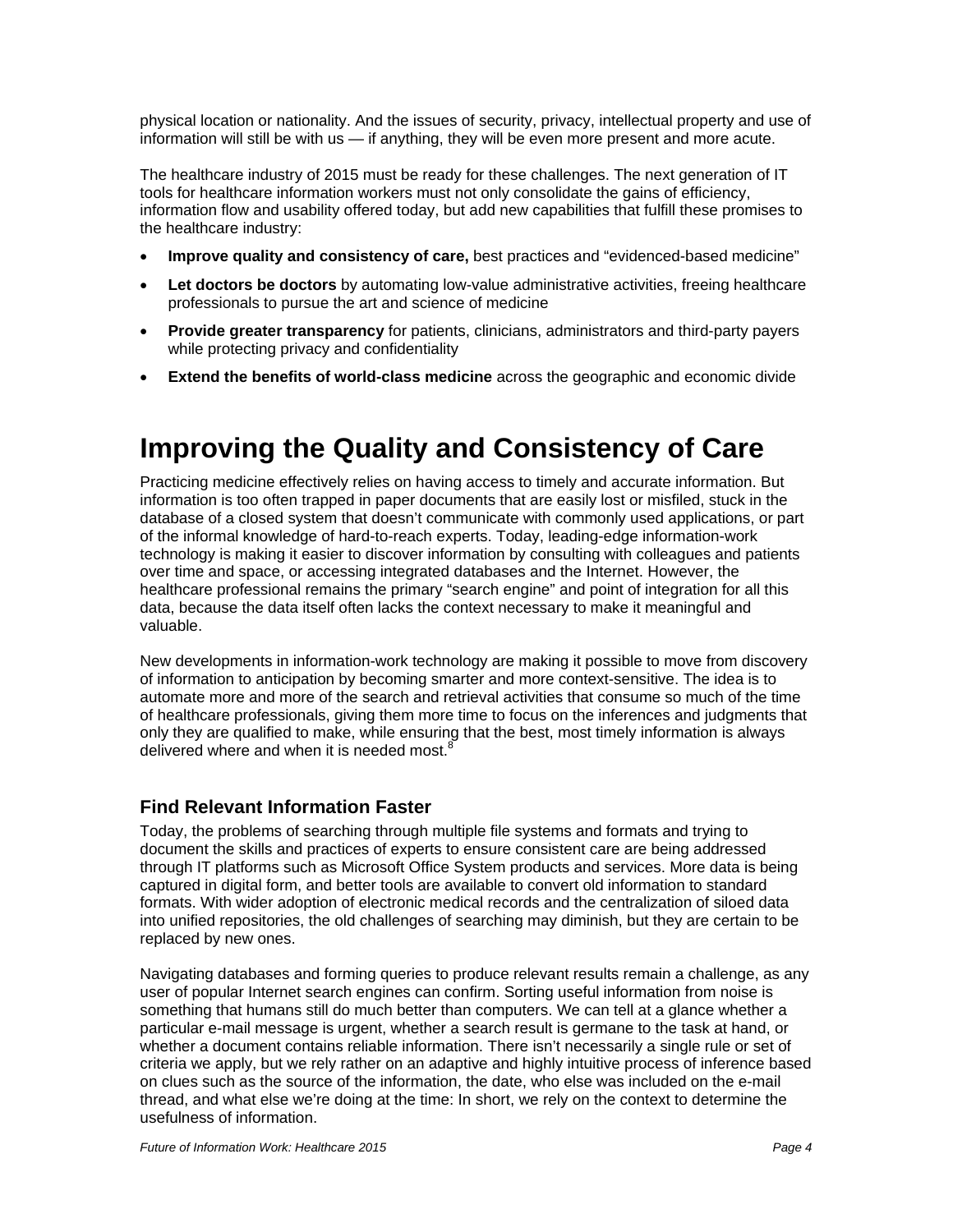<span id="page-6-0"></span>physical location or nationality. And the issues of security, privacy, intellectual property and use of information will still be with us — if anything, they will be even more present and more acute.

The healthcare industry of 2015 must be ready for these challenges. The next generation of IT tools for healthcare information workers must not only consolidate the gains of efficiency, information flow and usability offered today, but add new capabilities that fulfill these promises to the healthcare industry:

- **Improve quality and consistency of care,** best practices and "evidenced-based medicine"
- **Let doctors be doctors** by automating low-value administrative activities, freeing healthcare professionals to pursue the art and science of medicine
- **Provide greater transparency** for patients, clinicians, administrators and third-party payers while protecting privacy and confidentiality
- **Extend the benefits of world-class medicine** across the geographic and economic divide

# **Improving the Quality and Consistency of Care**

Practicing medicine effectively relies on having access to timely and accurate information. But information is too often trapped in paper documents that are easily lost or misfiled, stuck in the database of a closed system that doesn't communicate with commonly used applications, or part of the informal knowledge of hard-to-reach experts. Today, leading-edge information-work technology is making it easier to discover information by consulting with colleagues and patients over time and space, or accessing integrated databases and the Internet. However, the healthcare professional remains the primary "search engine" and point of integration for all this data, because the data itself often lacks the context necessary to make it meaningful and valuable.

New developments in information-work technology are making it possible to move from discovery of information to anticipation by becoming smarter and more context-sensitive. The idea is to automate more and more of the search and retrieval activities that consume so much of the time of healthcare professionals, giving them more time to focus on the inferences and judgments that only they are qualified to make, while ensuring that the best, most timely information is always delivered where and when it is needed most.

#### **Find Relevant Information Faster**

Today, the problems of searching through multiple file systems and formats and trying to document the skills and practices of experts to ensure consistent care are being addressed through IT platforms such as Microsoft Office System products and services. More data is being captured in digital form, and better tools are available to convert old information to standard formats. With wider adoption of electronic medical records and the centralization of siloed data into unified repositories, the old challenges of searching may diminish, but they are certain to be replaced by new ones.

Navigating databases and forming queries to produce relevant results remain a challenge, as any user of popular Internet search engines can confirm. Sorting useful information from noise is something that humans still do much better than computers. We can tell at a glance whether a particular e-mail message is urgent, whether a search result is germane to the task at hand, or whether a document contains reliable information. There isn't necessarily a single rule or set of criteria we apply, but we rely rather on an adaptive and highly intuitive process of inference based on clues such as the source of the information, the date, who else was included on the e-mail thread, and what else we're doing at the time: In short, we rely on the context to determine the usefulness of information.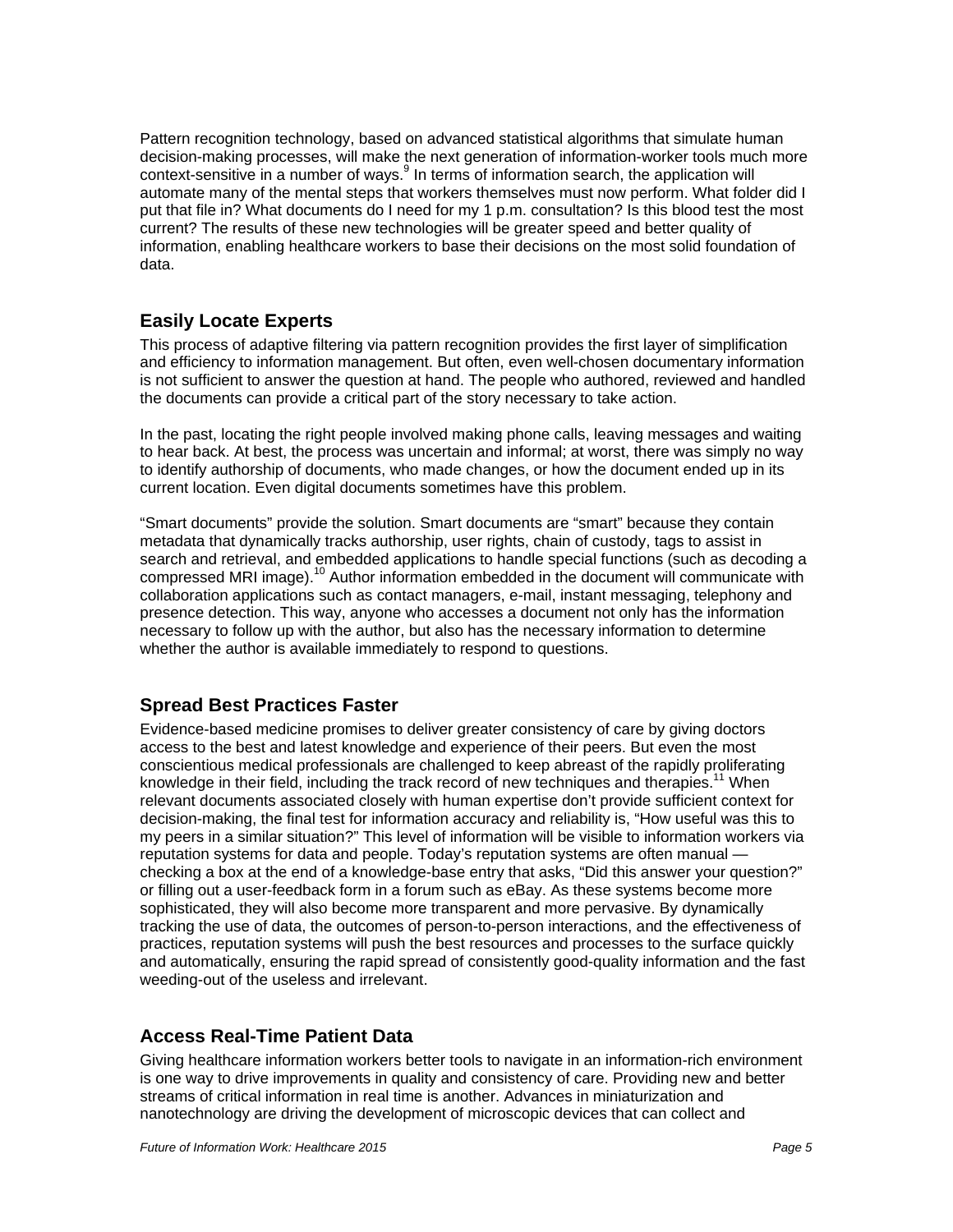<span id="page-7-0"></span>Pattern recognition technology, based on advanced statistical algorithms that simulate human decision-making processes, will make the next generation of information-worker tools much more context-sensitive in a number of ways. $9$  In terms of information search, the application will automate many of the mental steps that workers themselves must now perform. What folder did I put that file in? What documents do I need for my 1 p.m. consultation? Is this blood test the most current? The results of these new technologies will be greater speed and better quality of information, enabling healthcare workers to base their decisions on the most solid foundation of data.

#### **Easily Locate Experts**

This process of adaptive filtering via pattern recognition provides the first layer of simplification and efficiency to information management. But often, even well-chosen documentary information is not sufficient to answer the question at hand. The people who authored, reviewed and handled the documents can provide a critical part of the story necessary to take action.

In the past, locating the right people involved making phone calls, leaving messages and waiting to hear back. At best, the process was uncertain and informal; at worst, there was simply no way to identify authorship of documents, who made changes, or how the document ended up in its current location. Even digital documents sometimes have this problem.

"Smart documents" provide the solution. Smart documents are "smart" because they contain metadata that dynamically tracks authorship, user rights, chain of custody, tags to assist in search and retrieval, and embedded applications to handle special functions (such as decoding a compressed MRI image).<sup>10</sup> Author information embedded in the document will communicate with collaboration applications such as contact managers, e-mail, instant messaging, telephony and presence detection. This way, anyone who accesses a document not only has the information necessary to follow up with the author, but also has the necessary information to determine whether the author is available immediately to respond to questions.

#### **Spread Best Practices Faster**

Evidence-based medicine promises to deliver greater consistency of care by giving doctors access to the best and latest knowledge and experience of their peers. But even the most conscientious medical professionals are challenged to keep abreast of the rapidly proliferating knowledge in their field, including the track record of new techniques and therapies.<sup>11</sup> When relevant documents associated closely with human expertise don't provide sufficient context for decision-making, the final test for information accuracy and reliability is, "How useful was this to my peers in a similar situation?" This level of information will be visible to information workers via reputation systems for data and people. Today's reputation systems are often manual checking a box at the end of a knowledge-base entry that asks, "Did this answer your question?" or filling out a user-feedback form in a forum such as eBay. As these systems become more sophisticated, they will also become more transparent and more pervasive. By dynamically tracking the use of data, the outcomes of person-to-person interactions, and the effectiveness of practices, reputation systems will push the best resources and processes to the surface quickly and automatically, ensuring the rapid spread of consistently good-quality information and the fast weeding-out of the useless and irrelevant.

#### **Access Real-Time Patient Data**

Giving healthcare information workers better tools to navigate in an information-rich environment is one way to drive improvements in quality and consistency of care. Providing new and better streams of critical information in real time is another. Advances in miniaturization and nanotechnology are driving the development of microscopic devices that can collect and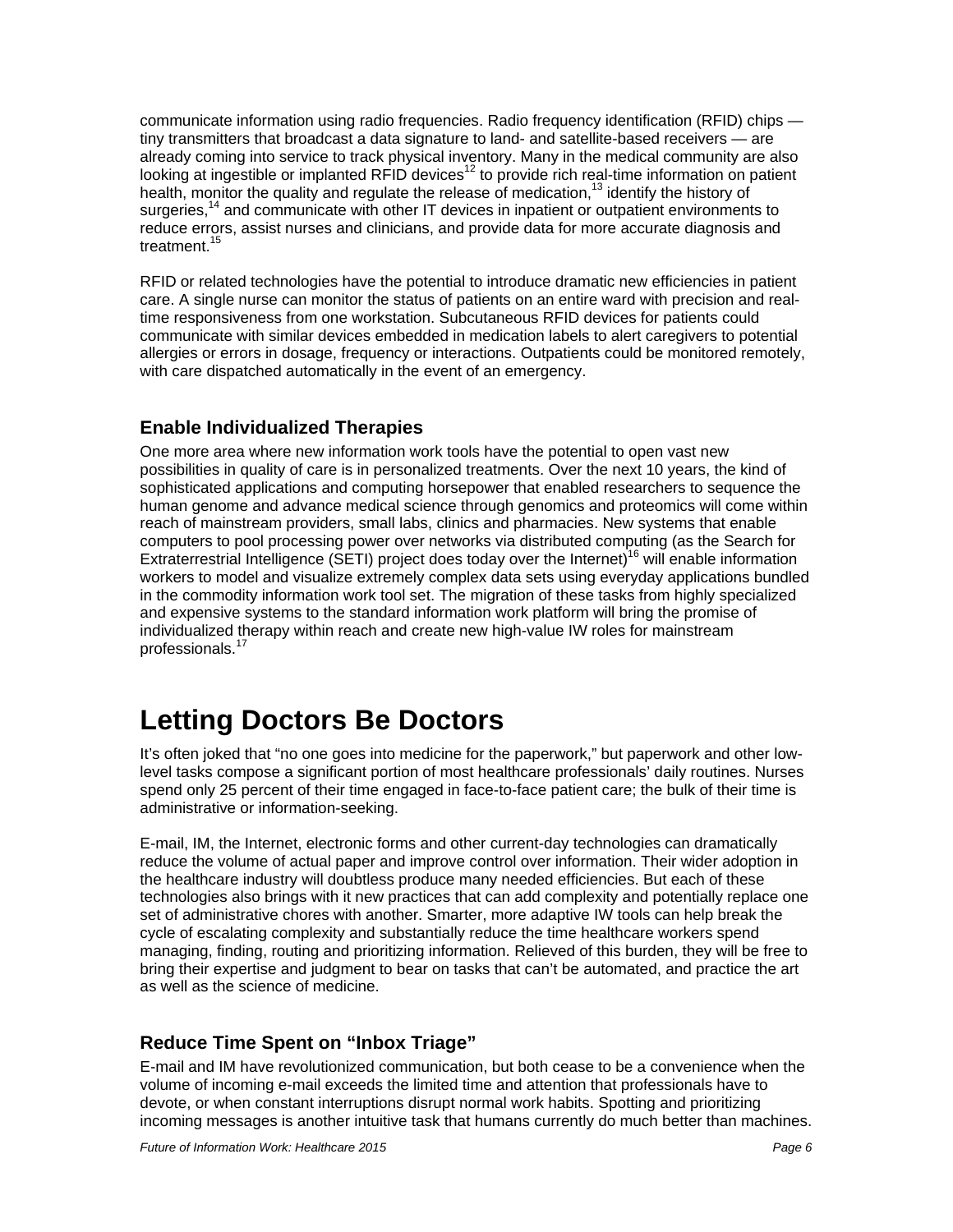<span id="page-8-0"></span>communicate information using radio frequencies. Radio frequency identification (RFID) chips tiny transmitters that broadcast a data signature to land- and satellite-based receivers — are already coming into service to track physical inventory. Many in the medical community are also looking at ingestible or implanted RFID devices<sup>12</sup> to provide rich real-time information on patient health, monitor the quality and regulate the release of medication,<sup>13</sup> identify the history of surgeries,<sup>14</sup> and communicate with other IT devices in inpatient or outpatient environments to reduce errors, assist nurses and clinicians, and provide data for more accurate diagnosis and treatment.<sup>15</sup>

RFID or related technologies have the potential to introduce dramatic new efficiencies in patient care. A single nurse can monitor the status of patients on an entire ward with precision and realtime responsiveness from one workstation. Subcutaneous RFID devices for patients could communicate with similar devices embedded in medication labels to alert caregivers to potential allergies or errors in dosage, frequency or interactions. Outpatients could be monitored remotely, with care dispatched automatically in the event of an emergency.

#### **Enable Individualized Therapies**

One more area where new information work tools have the potential to open vast new possibilities in quality of care is in personalized treatments. Over the next 10 years, the kind of sophisticated applications and computing horsepower that enabled researchers to sequence the human genome and advance medical science through genomics and proteomics will come within reach of mainstream providers, small labs, clinics and pharmacies. New systems that enable computers to pool processing power over networks via distributed computing (as the Search for Extraterrestrial Intelligence (SETI) project does today over the Internet)<sup>16</sup> will enable information workers to model and visualize extremely complex data sets using everyday applications bundled in the commodity information work tool set. The migration of these tasks from highly specialized and expensive systems to the standard information work platform will bring the promise of individualized therapy within reach and create new high-value IW roles for mainstream professionals.<sup>17</sup>

# **Letting Doctors Be Doctors**

It's often joked that "no one goes into medicine for the paperwork," but paperwork and other lowlevel tasks compose a significant portion of most healthcare professionals' daily routines. Nurses spend only 25 percent of their time engaged in face-to-face patient care; the bulk of their time is administrative or information-seeking.

E-mail, IM, the Internet, electronic forms and other current-day technologies can dramatically reduce the volume of actual paper and improve control over information. Their wider adoption in the healthcare industry will doubtless produce many needed efficiencies. But each of these technologies also brings with it new practices that can add complexity and potentially replace one set of administrative chores with another. Smarter, more adaptive IW tools can help break the cycle of escalating complexity and substantially reduce the time healthcare workers spend managing, finding, routing and prioritizing information. Relieved of this burden, they will be free to bring their expertise and judgment to bear on tasks that can't be automated, and practice the art as well as the science of medicine.

#### **Reduce Time Spent on "Inbox Triage"**

E-mail and IM have revolutionized communication, but both cease to be a convenience when the volume of incoming e-mail exceeds the limited time and attention that professionals have to devote, or when constant interruptions disrupt normal work habits. Spotting and prioritizing incoming messages is another intuitive task that humans currently do much better than machines.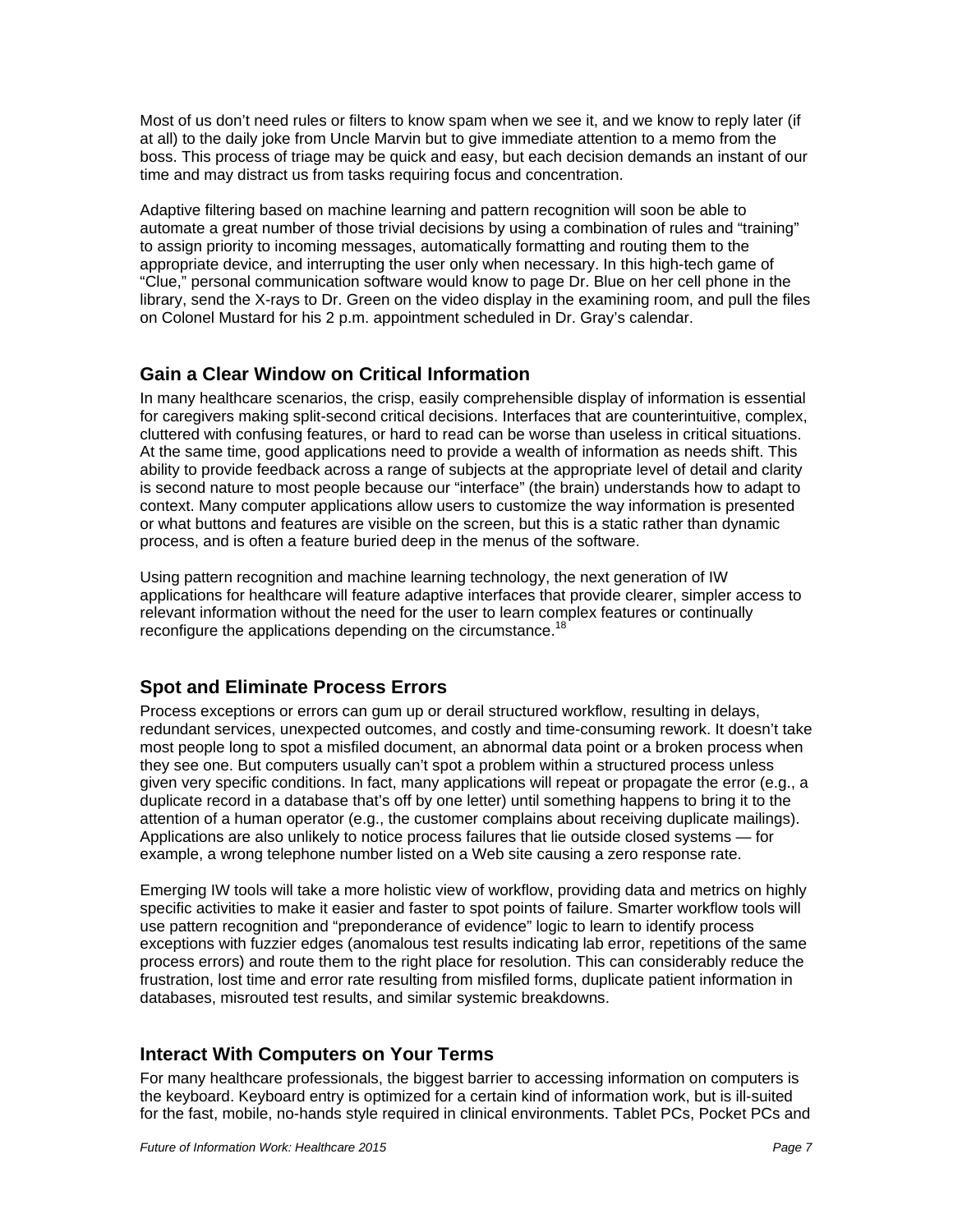<span id="page-9-0"></span>Most of us don't need rules or filters to know spam when we see it, and we know to reply later (if at all) to the daily joke from Uncle Marvin but to give immediate attention to a memo from the boss. This process of triage may be quick and easy, but each decision demands an instant of our time and may distract us from tasks requiring focus and concentration.

Adaptive filtering based on machine learning and pattern recognition will soon be able to automate a great number of those trivial decisions by using a combination of rules and "training" to assign priority to incoming messages, automatically formatting and routing them to the appropriate device, and interrupting the user only when necessary. In this high-tech game of "Clue," personal communication software would know to page Dr. Blue on her cell phone in the library, send the X-rays to Dr. Green on the video display in the examining room, and pull the files on Colonel Mustard for his 2 p.m. appointment scheduled in Dr. Gray's calendar.

#### **Gain a Clear Window on Critical Information**

In many healthcare scenarios, the crisp, easily comprehensible display of information is essential for caregivers making split-second critical decisions. Interfaces that are counterintuitive, complex, cluttered with confusing features, or hard to read can be worse than useless in critical situations. At the same time, good applications need to provide a wealth of information as needs shift. This ability to provide feedback across a range of subjects at the appropriate level of detail and clarity is second nature to most people because our "interface" (the brain) understands how to adapt to context. Many computer applications allow users to customize the way information is presented or what buttons and features are visible on the screen, but this is a static rather than dynamic process, and is often a feature buried deep in the menus of the software.

Using pattern recognition and machine learning technology, the next generation of IW applications for healthcare will feature adaptive interfaces that provide clearer, simpler access to relevant information without the need for the user to learn complex features or continually reconfigure the applications depending on the circumstance.<sup>18</sup>

#### **Spot and Eliminate Process Errors**

Process exceptions or errors can gum up or derail structured workflow, resulting in delays, redundant services, unexpected outcomes, and costly and time-consuming rework. It doesn't take most people long to spot a misfiled document, an abnormal data point or a broken process when they see one. But computers usually can't spot a problem within a structured process unless given very specific conditions. In fact, many applications will repeat or propagate the error (e.g., a duplicate record in a database that's off by one letter) until something happens to bring it to the attention of a human operator (e.g., the customer complains about receiving duplicate mailings). Applications are also unlikely to notice process failures that lie outside closed systems — for example, a wrong telephone number listed on a Web site causing a zero response rate.

Emerging IW tools will take a more holistic view of workflow, providing data and metrics on highly specific activities to make it easier and faster to spot points of failure. Smarter workflow tools will use pattern recognition and "preponderance of evidence" logic to learn to identify process exceptions with fuzzier edges (anomalous test results indicating lab error, repetitions of the same process errors) and route them to the right place for resolution. This can considerably reduce the frustration, lost time and error rate resulting from misfiled forms, duplicate patient information in databases, misrouted test results, and similar systemic breakdowns.

#### **Interact With Computers on Your Terms**

For many healthcare professionals, the biggest barrier to accessing information on computers is the keyboard. Keyboard entry is optimized for a certain kind of information work, but is ill-suited for the fast, mobile, no-hands style required in clinical environments. Tablet PCs, Pocket PCs and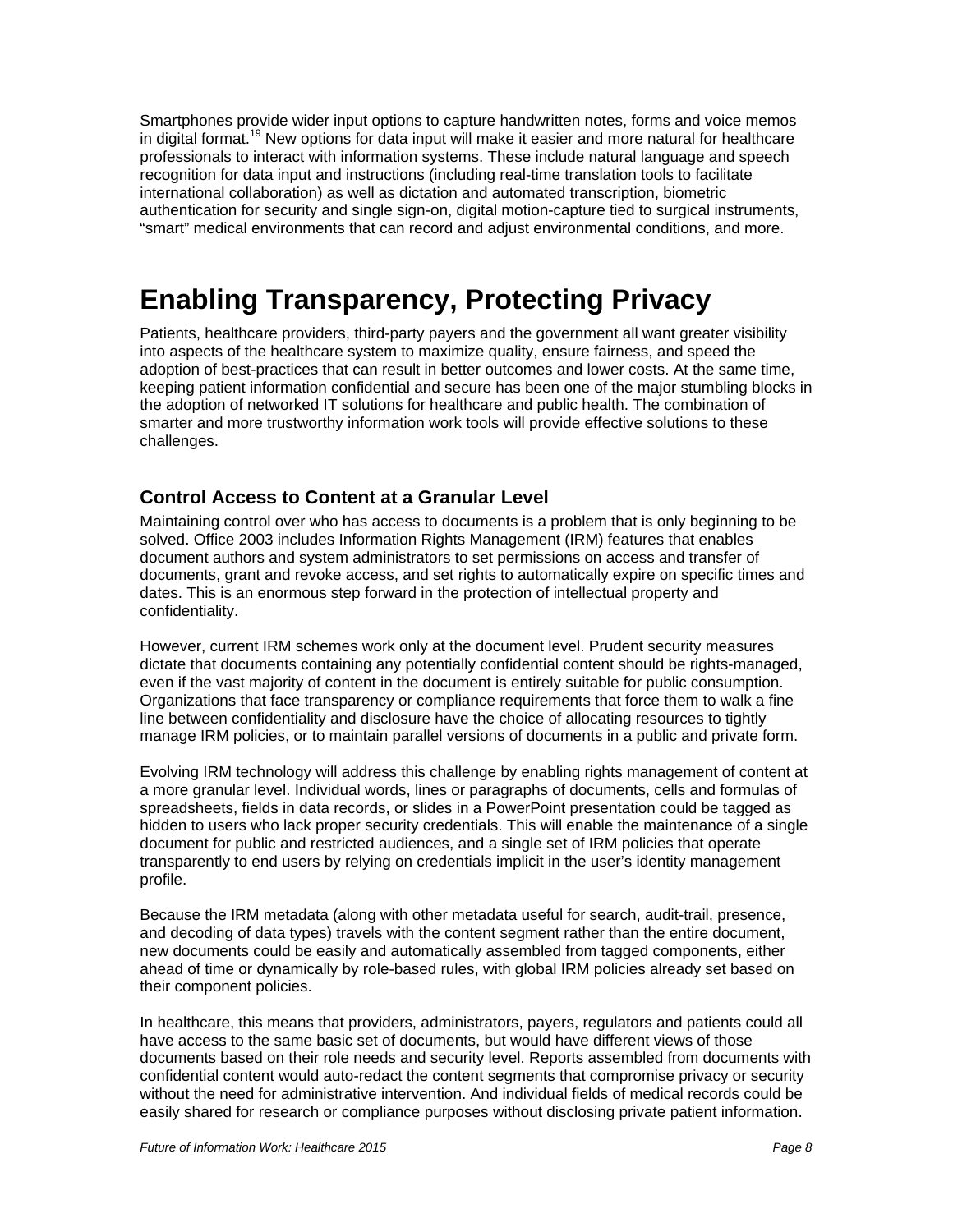<span id="page-10-0"></span>Smartphones provide wider input options to capture handwritten notes, forms and voice memos in digital format.<sup>19</sup> New options for data input will make it easier and more natural for healthcare professionals to interact with information systems. These include natural language and speech recognition for data input and instructions (including real-time translation tools to facilitate international collaboration) as well as dictation and automated transcription, biometric authentication for security and single sign-on, digital motion-capture tied to surgical instruments, "smart" medical environments that can record and adjust environmental conditions, and more.

# **Enabling Transparency, Protecting Privacy**

Patients, healthcare providers, third-party payers and the government all want greater visibility into aspects of the healthcare system to maximize quality, ensure fairness, and speed the adoption of best-practices that can result in better outcomes and lower costs. At the same time, keeping patient information confidential and secure has been one of the major stumbling blocks in the adoption of networked IT solutions for healthcare and public health. The combination of smarter and more trustworthy information work tools will provide effective solutions to these challenges.

#### **Control Access to Content at a Granular Level**

Maintaining control over who has access to documents is a problem that is only beginning to be solved. Office 2003 includes Information Rights Management (IRM) features that enables document authors and system administrators to set permissions on access and transfer of documents, grant and revoke access, and set rights to automatically expire on specific times and dates. This is an enormous step forward in the protection of intellectual property and confidentiality.

However, current IRM schemes work only at the document level. Prudent security measures dictate that documents containing any potentially confidential content should be rights-managed, even if the vast majority of content in the document is entirely suitable for public consumption. Organizations that face transparency or compliance requirements that force them to walk a fine line between confidentiality and disclosure have the choice of allocating resources to tightly manage IRM policies, or to maintain parallel versions of documents in a public and private form.

Evolving IRM technology will address this challenge by enabling rights management of content at a more granular level. Individual words, lines or paragraphs of documents, cells and formulas of spreadsheets, fields in data records, or slides in a PowerPoint presentation could be tagged as hidden to users who lack proper security credentials. This will enable the maintenance of a single document for public and restricted audiences, and a single set of IRM policies that operate transparently to end users by relying on credentials implicit in the user's identity management profile.

Because the IRM metadata (along with other metadata useful for search, audit-trail, presence, and decoding of data types) travels with the content segment rather than the entire document, new documents could be easily and automatically assembled from tagged components, either ahead of time or dynamically by role-based rules, with global IRM policies already set based on their component policies.

In healthcare, this means that providers, administrators, payers, regulators and patients could all have access to the same basic set of documents, but would have different views of those documents based on their role needs and security level. Reports assembled from documents with confidential content would auto-redact the content segments that compromise privacy or security without the need for administrative intervention. And individual fields of medical records could be easily shared for research or compliance purposes without disclosing private patient information.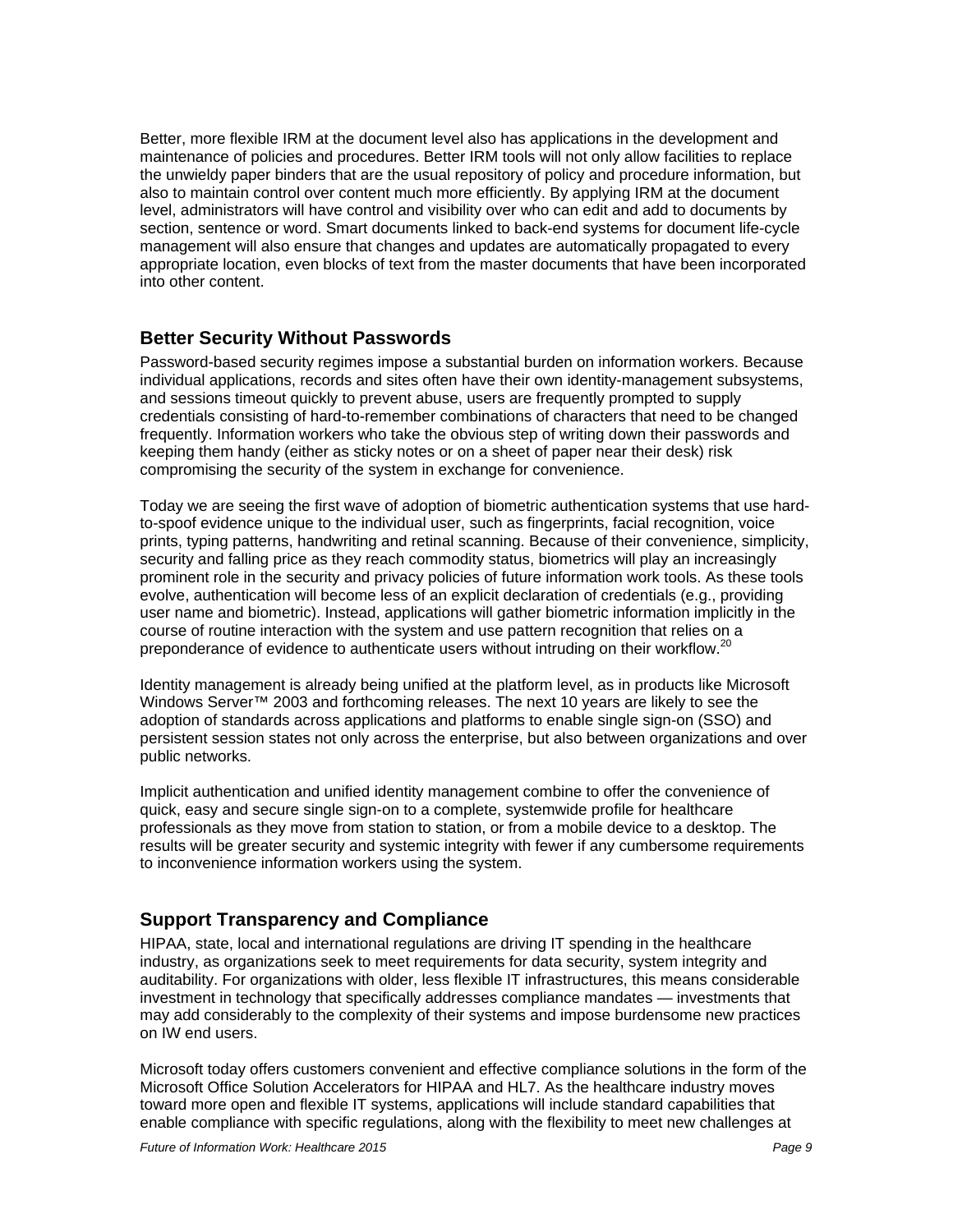<span id="page-11-0"></span>Better, more flexible IRM at the document level also has applications in the development and maintenance of policies and procedures. Better IRM tools will not only allow facilities to replace the unwieldy paper binders that are the usual repository of policy and procedure information, but also to maintain control over content much more efficiently. By applying IRM at the document level, administrators will have control and visibility over who can edit and add to documents by section, sentence or word. Smart documents linked to back-end systems for document life-cycle management will also ensure that changes and updates are automatically propagated to every appropriate location, even blocks of text from the master documents that have been incorporated into other content.

#### **Better Security Without Passwords**

Password-based security regimes impose a substantial burden on information workers. Because individual applications, records and sites often have their own identity-management subsystems, and sessions timeout quickly to prevent abuse, users are frequently prompted to supply credentials consisting of hard-to-remember combinations of characters that need to be changed frequently. Information workers who take the obvious step of writing down their passwords and keeping them handy (either as sticky notes or on a sheet of paper near their desk) risk compromising the security of the system in exchange for convenience.

Today we are seeing the first wave of adoption of biometric authentication systems that use hardto-spoof evidence unique to the individual user, such as fingerprints, facial recognition, voice prints, typing patterns, handwriting and retinal scanning. Because of their convenience, simplicity, security and falling price as they reach commodity status, biometrics will play an increasingly prominent role in the security and privacy policies of future information work tools. As these tools evolve, authentication will become less of an explicit declaration of credentials (e.g., providing user name and biometric). Instead, applications will gather biometric information implicitly in the course of routine interaction with the system and use pattern recognition that relies on a preponderance of evidence to authenticate users without intruding on their workflow.<sup>20</sup>

Identity management is already being unified at the platform level, as in products like Microsoft Windows Server™ 2003 and forthcoming releases. The next 10 years are likely to see the adoption of standards across applications and platforms to enable single sign-on (SSO) and persistent session states not only across the enterprise, but also between organizations and over public networks.

Implicit authentication and unified identity management combine to offer the convenience of quick, easy and secure single sign-on to a complete, systemwide profile for healthcare professionals as they move from station to station, or from a mobile device to a desktop. The results will be greater security and systemic integrity with fewer if any cumbersome requirements to inconvenience information workers using the system.

#### **Support Transparency and Compliance**

HIPAA, state, local and international regulations are driving IT spending in the healthcare industry, as organizations seek to meet requirements for data security, system integrity and auditability. For organizations with older, less flexible IT infrastructures, this means considerable investment in technology that specifically addresses compliance mandates — investments that may add considerably to the complexity of their systems and impose burdensome new practices on IW end users.

Microsoft today offers customers convenient and effective compliance solutions in the form of the Microsoft Office Solution Accelerators for HIPAA and HL7. As the healthcare industry moves toward more open and flexible IT systems, applications will include standard capabilities that enable compliance with specific regulations, along with the flexibility to meet new challenges at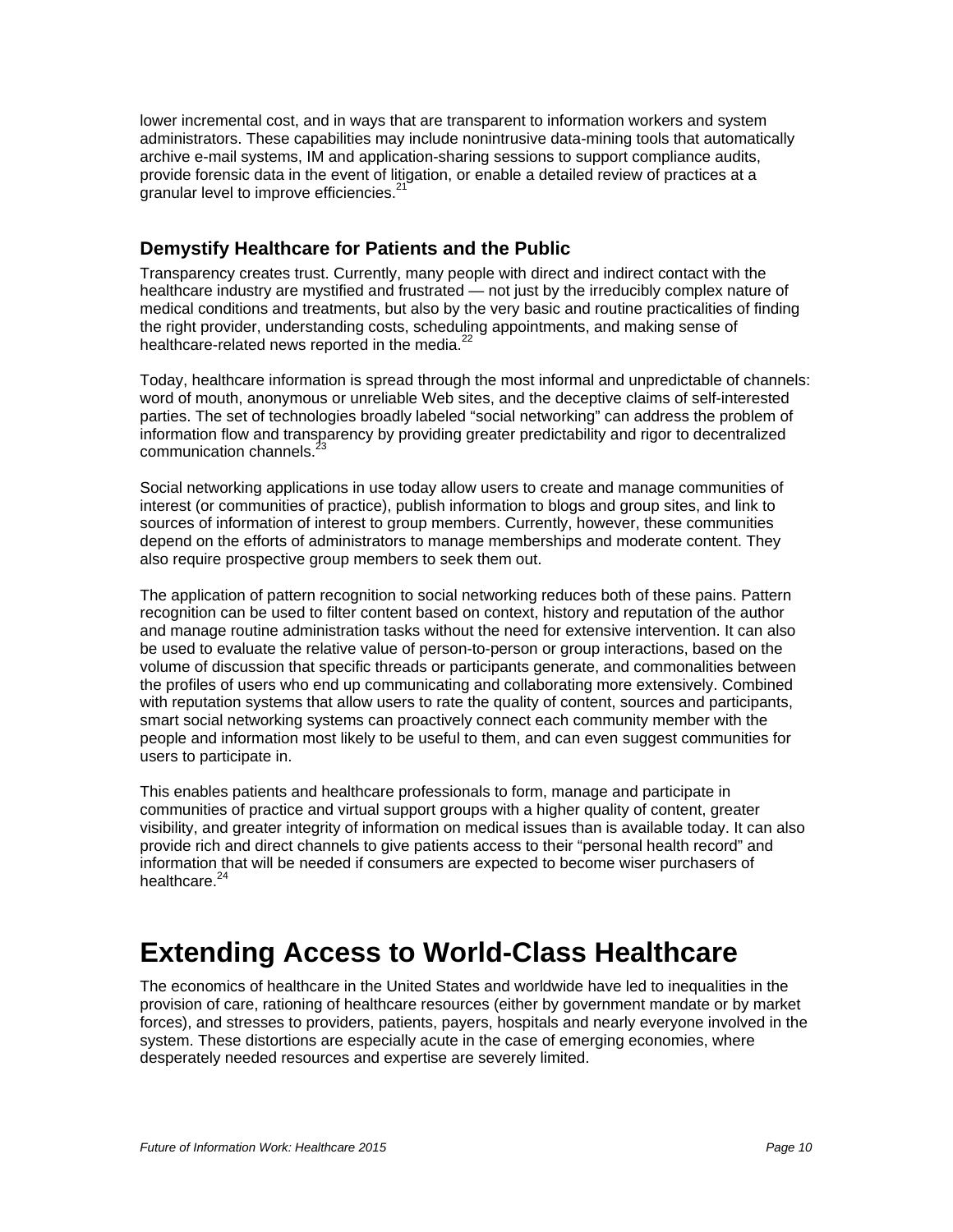<span id="page-12-0"></span>lower incremental cost, and in ways that are transparent to information workers and system administrators. These capabilities may include nonintrusive data-mining tools that automatically archive e-mail systems, IM and application-sharing sessions to support compliance audits, provide forensic data in the event of litigation, or enable a detailed review of practices at a granular level to improve efficiencies.<sup>21</sup>

#### **Demystify Healthcare for Patients and the Public**

Transparency creates trust. Currently, many people with direct and indirect contact with the healthcare industry are mystified and frustrated — not just by the irreducibly complex nature of medical conditions and treatments, but also by the very basic and routine practicalities of finding the right provider, understanding costs, scheduling appointments, and making sense of healthcare-related news reported in the media.<sup>22</sup>

Today, healthcare information is spread through the most informal and unpredictable of channels: word of mouth, anonymous or unreliable Web sites, and the deceptive claims of self-interested parties. The set of technologies broadly labeled "social networking" can address the problem of information flow and transparency by providing greater predictability and rigor to decentralized communication channels.<sup>3</sup>

Social networking applications in use today allow users to create and manage communities of interest (or communities of practice), publish information to blogs and group sites, and link to sources of information of interest to group members. Currently, however, these communities depend on the efforts of administrators to manage memberships and moderate content. They also require prospective group members to seek them out.

The application of pattern recognition to social networking reduces both of these pains. Pattern recognition can be used to filter content based on context, history and reputation of the author and manage routine administration tasks without the need for extensive intervention. It can also be used to evaluate the relative value of person-to-person or group interactions, based on the volume of discussion that specific threads or participants generate, and commonalities between the profiles of users who end up communicating and collaborating more extensively. Combined with reputation systems that allow users to rate the quality of content, sources and participants, smart social networking systems can proactively connect each community member with the people and information most likely to be useful to them, and can even suggest communities for users to participate in.

This enables patients and healthcare professionals to form, manage and participate in communities of practice and virtual support groups with a higher quality of content, greater visibility, and greater integrity of information on medical issues than is available today. It can also provide rich and direct channels to give patients access to their "personal health record" and information that will be needed if consumers are expected to become wiser purchasers of healthcare.<sup>2</sup>

### **Extending Access to World-Class Healthcare**

The economics of healthcare in the United States and worldwide have led to inequalities in the provision of care, rationing of healthcare resources (either by government mandate or by market forces), and stresses to providers, patients, payers, hospitals and nearly everyone involved in the system. These distortions are especially acute in the case of emerging economies, where desperately needed resources and expertise are severely limited.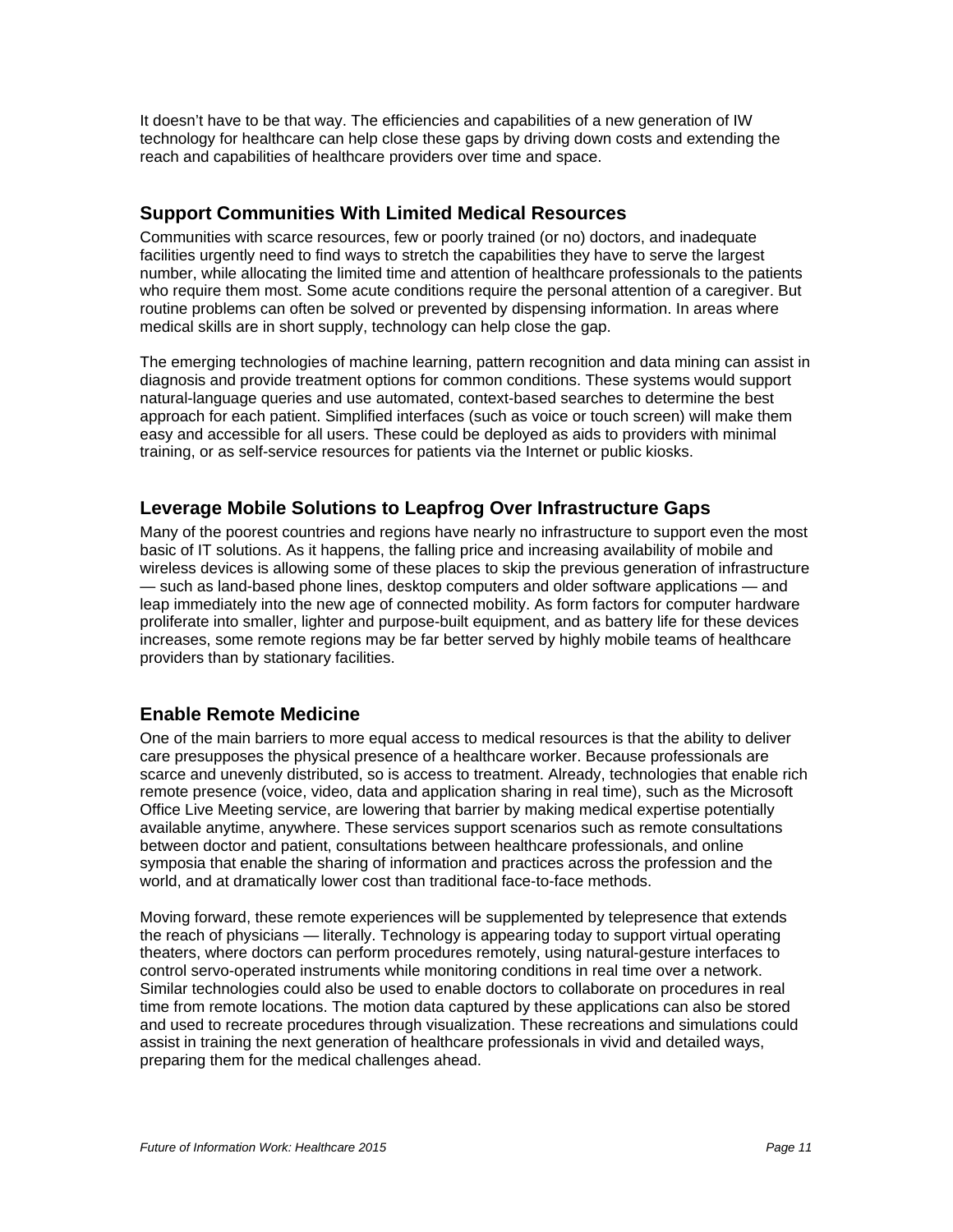<span id="page-13-0"></span>It doesn't have to be that way. The efficiencies and capabilities of a new generation of IW technology for healthcare can help close these gaps by driving down costs and extending the reach and capabilities of healthcare providers over time and space.

#### **Support Communities With Limited Medical Resources**

Communities with scarce resources, few or poorly trained (or no) doctors, and inadequate facilities urgently need to find ways to stretch the capabilities they have to serve the largest number, while allocating the limited time and attention of healthcare professionals to the patients who require them most. Some acute conditions require the personal attention of a caregiver. But routine problems can often be solved or prevented by dispensing information. In areas where medical skills are in short supply, technology can help close the gap.

The emerging technologies of machine learning, pattern recognition and data mining can assist in diagnosis and provide treatment options for common conditions. These systems would support natural-language queries and use automated, context-based searches to determine the best approach for each patient. Simplified interfaces (such as voice or touch screen) will make them easy and accessible for all users. These could be deployed as aids to providers with minimal training, or as self-service resources for patients via the Internet or public kiosks.

#### **Leverage Mobile Solutions to Leapfrog Over Infrastructure Gaps**

Many of the poorest countries and regions have nearly no infrastructure to support even the most basic of IT solutions. As it happens, the falling price and increasing availability of mobile and wireless devices is allowing some of these places to skip the previous generation of infrastructure — such as land-based phone lines, desktop computers and older software applications — and leap immediately into the new age of connected mobility. As form factors for computer hardware proliferate into smaller, lighter and purpose-built equipment, and as battery life for these devices increases, some remote regions may be far better served by highly mobile teams of healthcare providers than by stationary facilities.

#### **Enable Remote Medicine**

One of the main barriers to more equal access to medical resources is that the ability to deliver care presupposes the physical presence of a healthcare worker. Because professionals are scarce and unevenly distributed, so is access to treatment. Already, technologies that enable rich remote presence (voice, video, data and application sharing in real time), such as the Microsoft Office Live Meeting service, are lowering that barrier by making medical expertise potentially available anytime, anywhere. These services support scenarios such as remote consultations between doctor and patient, consultations between healthcare professionals, and online symposia that enable the sharing of information and practices across the profession and the world, and at dramatically lower cost than traditional face-to-face methods.

Moving forward, these remote experiences will be supplemented by telepresence that extends the reach of physicians — literally. Technology is appearing today to support virtual operating theaters, where doctors can perform procedures remotely, using natural-gesture interfaces to control servo-operated instruments while monitoring conditions in real time over a network. Similar technologies could also be used to enable doctors to collaborate on procedures in real time from remote locations. The motion data captured by these applications can also be stored and used to recreate procedures through visualization. These recreations and simulations could assist in training the next generation of healthcare professionals in vivid and detailed ways, preparing them for the medical challenges ahead.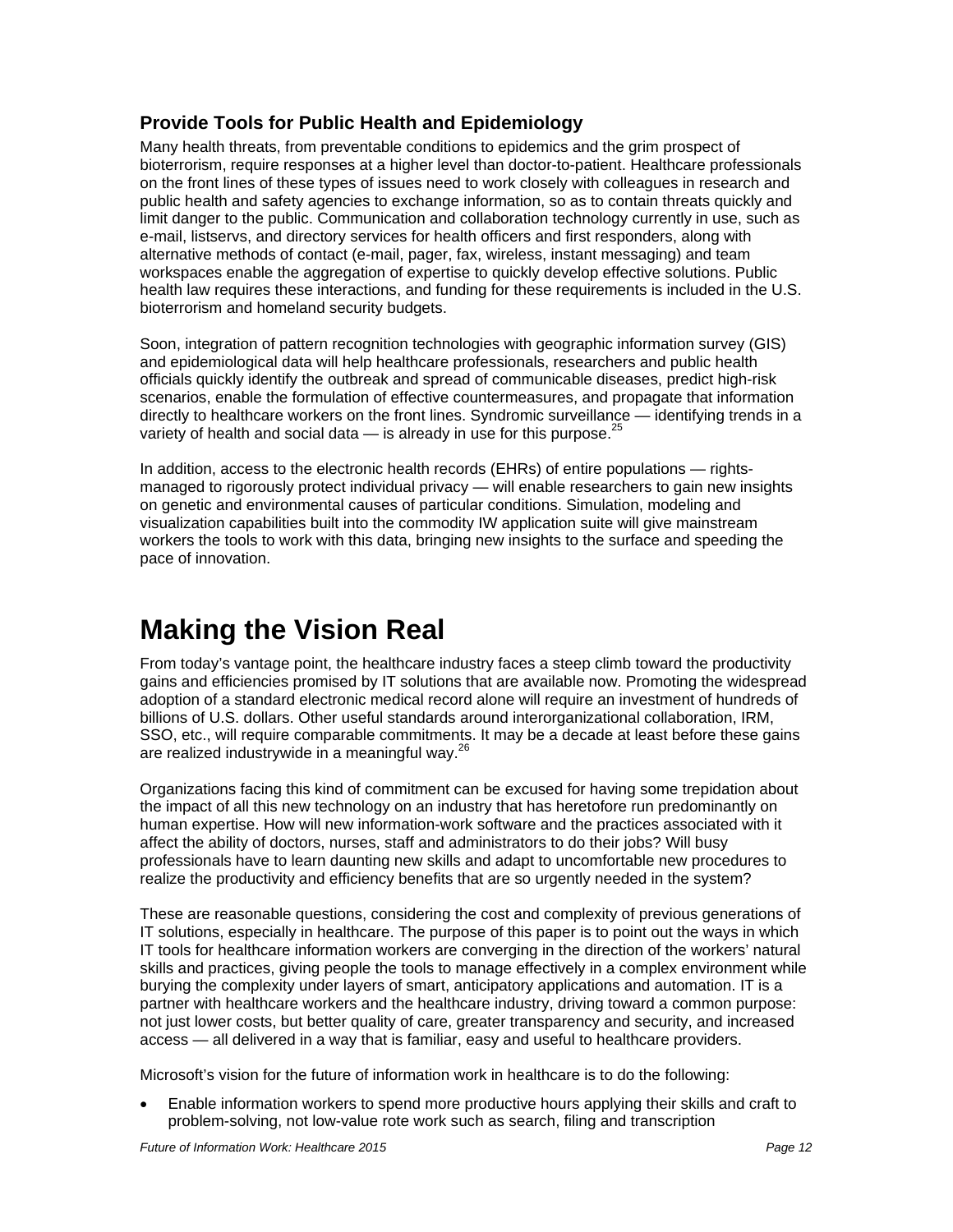#### <span id="page-14-0"></span>**Provide Tools for Public Health and Epidemiology**

Many health threats, from preventable conditions to epidemics and the grim prospect of bioterrorism, require responses at a higher level than doctor-to-patient. Healthcare professionals on the front lines of these types of issues need to work closely with colleagues in research and public health and safety agencies to exchange information, so as to contain threats quickly and limit danger to the public. Communication and collaboration technology currently in use, such as e-mail, listservs, and directory services for health officers and first responders, along with alternative methods of contact (e-mail, pager, fax, wireless, instant messaging) and team workspaces enable the aggregation of expertise to quickly develop effective solutions. Public health law requires these interactions, and funding for these requirements is included in the U.S. bioterrorism and homeland security budgets.

Soon, integration of pattern recognition technologies with geographic information survey (GIS) and epidemiological data will help healthcare professionals, researchers and public health officials quickly identify the outbreak and spread of communicable diseases, predict high-risk scenarios, enable the formulation of effective countermeasures, and propagate that information directly to healthcare workers on the front lines. Syndromic surveillance — identifying trends in a variety of health and social data  $-$  is already in use for this purpose.<sup>25</sup>

In addition, access to the electronic health records (EHRs) of entire populations — rightsmanaged to rigorously protect individual privacy — will enable researchers to gain new insights on genetic and environmental causes of particular conditions. Simulation, modeling and visualization capabilities built into the commodity IW application suite will give mainstream workers the tools to work with this data, bringing new insights to the surface and speeding the pace of innovation.

# **Making the Vision Real**

From today's vantage point, the healthcare industry faces a steep climb toward the productivity gains and efficiencies promised by IT solutions that are available now. Promoting the widespread adoption of a standard electronic medical record alone will require an investment of hundreds of billions of U.S. dollars. Other useful standards around interorganizational collaboration, IRM, SSO, etc., will require comparable commitments. It may be a decade at least before these gains are realized industrywide in a meaningful way.<sup>26</sup>

Organizations facing this kind of commitment can be excused for having some trepidation about the impact of all this new technology on an industry that has heretofore run predominantly on human expertise. How will new information-work software and the practices associated with it affect the ability of doctors, nurses, staff and administrators to do their jobs? Will busy professionals have to learn daunting new skills and adapt to uncomfortable new procedures to realize the productivity and efficiency benefits that are so urgently needed in the system?

These are reasonable questions, considering the cost and complexity of previous generations of IT solutions, especially in healthcare. The purpose of this paper is to point out the ways in which IT tools for healthcare information workers are converging in the direction of the workers' natural skills and practices, giving people the tools to manage effectively in a complex environment while burying the complexity under layers of smart, anticipatory applications and automation. IT is a partner with healthcare workers and the healthcare industry, driving toward a common purpose: not just lower costs, but better quality of care, greater transparency and security, and increased access — all delivered in a way that is familiar, easy and useful to healthcare providers.

Microsoft's vision for the future of information work in healthcare is to do the following:

• Enable information workers to spend more productive hours applying their skills and craft to problem-solving, not low-value rote work such as search, filing and transcription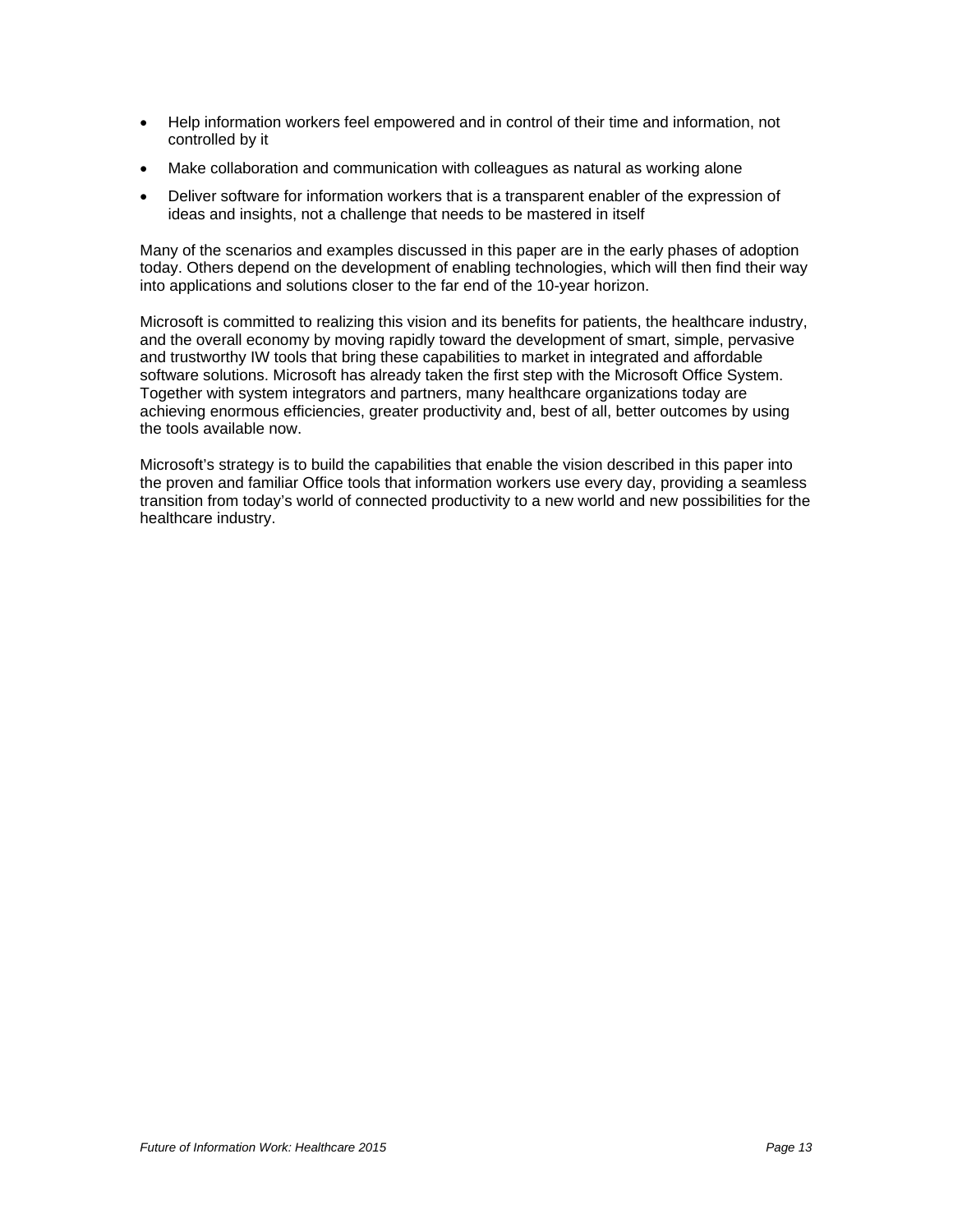- Help information workers feel empowered and in control of their time and information, not controlled by it
- Make collaboration and communication with colleagues as natural as working alone
- Deliver software for information workers that is a transparent enabler of the expression of ideas and insights, not a challenge that needs to be mastered in itself

Many of the scenarios and examples discussed in this paper are in the early phases of adoption today. Others depend on the development of enabling technologies, which will then find their way into applications and solutions closer to the far end of the 10-year horizon.

Microsoft is committed to realizing this vision and its benefits for patients, the healthcare industry, and the overall economy by moving rapidly toward the development of smart, simple, pervasive and trustworthy IW tools that bring these capabilities to market in integrated and affordable software solutions. Microsoft has already taken the first step with the Microsoft Office System. Together with system integrators and partners, many healthcare organizations today are achieving enormous efficiencies, greater productivity and, best of all, better outcomes by using the tools available now.

Microsoft's strategy is to build the capabilities that enable the vision described in this paper into the proven and familiar Office tools that information workers use every day, providing a seamless transition from today's world of connected productivity to a new world and new possibilities for the healthcare industry.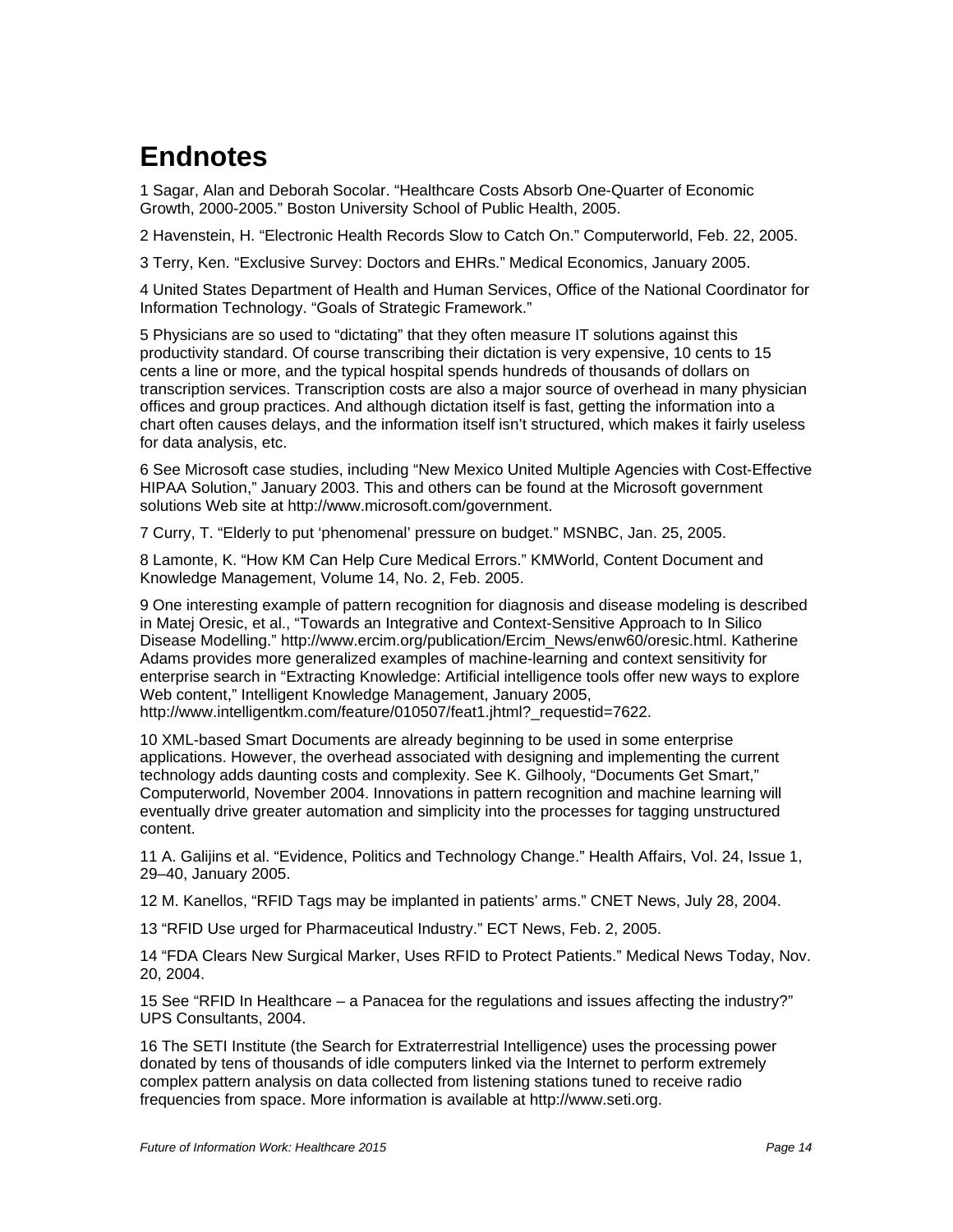# <span id="page-16-0"></span>**Endnotes**

1 Sagar, Alan and Deborah Socolar. "Healthcare Costs Absorb One-Quarter of Economic Growth, 2000-2005." Boston University School of Public Health, 2005.

2 Havenstein, H. "Electronic Health Records Slow to Catch On." Computerworld, Feb. 22, 2005.

3 Terry, Ken. "Exclusive Survey: Doctors and EHRs." Medical Economics, January 2005.

4 United States Department of Health and Human Services, Office of the National Coordinator for Information Technology. "Goals of Strategic Framework."

5 Physicians are so used to "dictating" that they often measure IT solutions against this productivity standard. Of course transcribing their dictation is very expensive, 10 cents to 15 cents a line or more, and the typical hospital spends hundreds of thousands of dollars on transcription services. Transcription costs are also a major source of overhead in many physician offices and group practices. And although dictation itself is fast, getting the information into a chart often causes delays, and the information itself isn't structured, which makes it fairly useless for data analysis, etc.

6 See Microsoft case studies, including "New Mexico United Multiple Agencies with Cost-Effective HIPAA Solution," January 2003. This and others can be found at the Microsoft government solutions Web site at http://www.microsoft.com/government.

7 Curry, T. "Elderly to put 'phenomenal' pressure on budget." MSNBC, Jan. 25, 2005.

8 Lamonte, K. "How KM Can Help Cure Medical Errors." KMWorld, Content Document and Knowledge Management, Volume 14, No. 2, Feb. 2005.

9 One interesting example of pattern recognition for diagnosis and disease modeling is described in Matej Oresic, et al., "Towards an Integrative and Context-Sensitive Approach to In Silico Disease Modelling." http://www.ercim.org/publication/Ercim\_News/enw60/oresic.html. Katherine Adams provides more generalized examples of machine-learning and context sensitivity for enterprise search in "Extracting Knowledge: Artificial intelligence tools offer new ways to explore Web content," Intelligent Knowledge Management, January 2005, http://www.intelligentkm.com/feature/010507/feat1.jhtml? requestid=7622.

10 XML-based Smart Documents are already beginning to be used in some enterprise applications. However, the overhead associated with designing and implementing the current technology adds daunting costs and complexity. See K. Gilhooly, "Documents Get Smart," Computerworld, November 2004. Innovations in pattern recognition and machine learning will eventually drive greater automation and simplicity into the processes for tagging unstructured content.

11 A. Galijins et al. "Evidence, Politics and Technology Change." Health Affairs, Vol. 24, Issue 1, 29–40, January 2005.

12 M. Kanellos, "RFID Tags may be implanted in patients' arms." CNET News, July 28, 2004.

13 "RFID Use urged for Pharmaceutical Industry." ECT News, Feb. 2, 2005.

14 "FDA Clears New Surgical Marker, Uses RFID to Protect Patients." Medical News Today, Nov. 20, 2004.

15 See "RFID In Healthcare – a Panacea for the regulations and issues affecting the industry?" UPS Consultants, 2004.

16 The SETI Institute (the Search for Extraterrestrial Intelligence) uses the processing power donated by tens of thousands of idle computers linked via the Internet to perform extremely complex pattern analysis on data collected from listening stations tuned to receive radio frequencies from space. More information is available at http://www.seti.org.